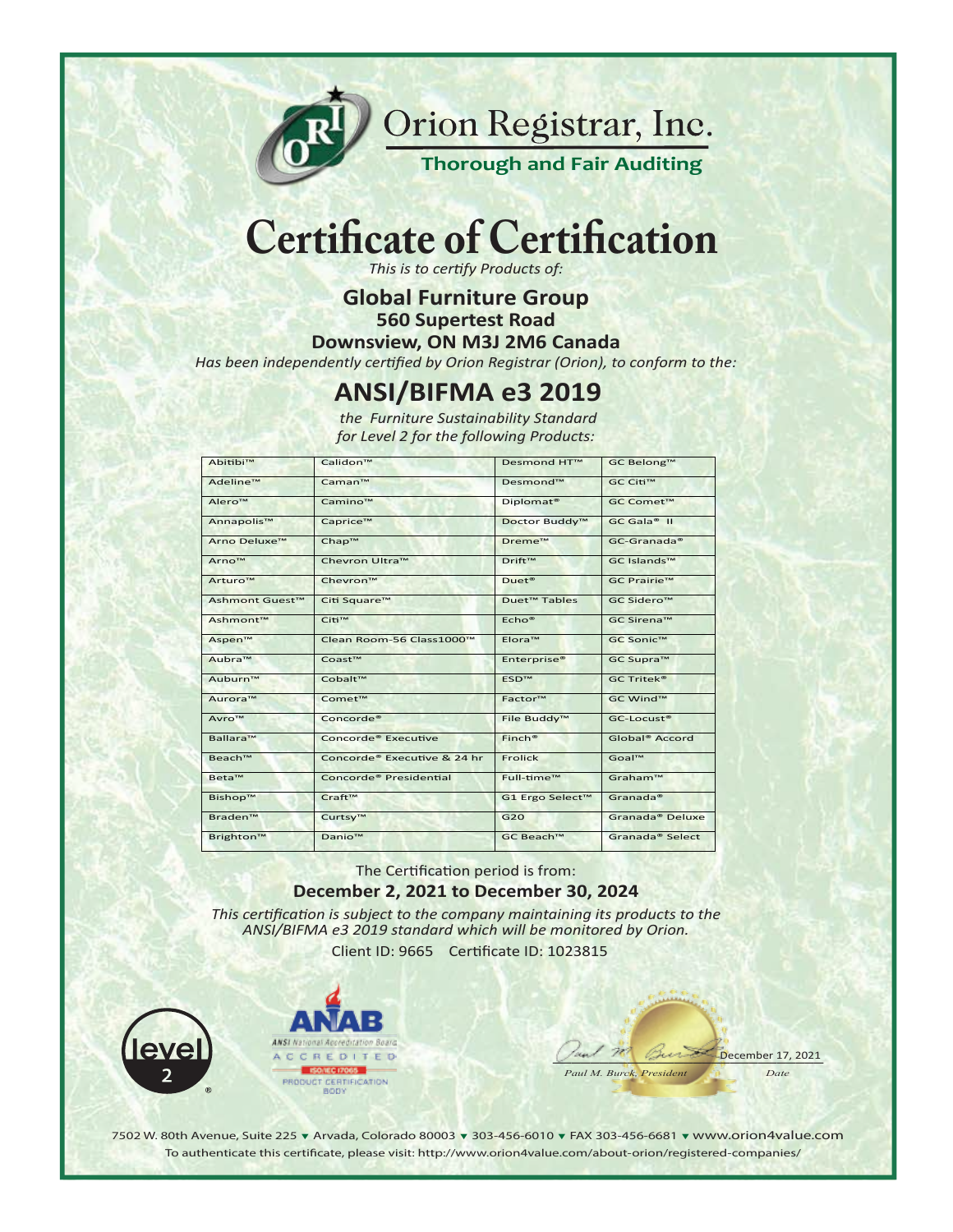

Orion Registrar, Inc.

**Thorough and Fair Auditing** 

# **Certificate of Certification**

This is to certify Products of:

**Global Furniture Group** 

**560 Supertest Road** 

Downsview, ON M3J 2M6 Canada

Has been independently certified by Orion Registrar (Orion), to conform to the:

### **ANSI/BIFMA e3 2019**

the Furniture Sustainability Standard for Level 2 for the following Products:

| Abitibi™                   | Calidon <sup>™</sup>               | <b>Desmond HT™</b>       | GC Belong™                  |
|----------------------------|------------------------------------|--------------------------|-----------------------------|
| Adeline™                   | Caman™                             | Desmond™                 | GC Citi™                    |
| Alero™                     | Camino™                            | Diplomat <sup>®</sup>    | GC Comet™                   |
| Annapolis™                 | Caprice™                           | Doctor Buddy™            | GC Gala <sup>®</sup> II     |
| Arno Deluxe™               | Chap™                              | Dreme™                   | $GC$ -Granada®              |
| Arno <sup>™</sup>          | Chevron Ultra™                     | Drift <sup>™</sup>       | GC Islands™                 |
| Arturo <sup>™</sup>        | Chevron™                           | Duet <sup>®</sup>        | GC Prairie™                 |
| Ashmont Guest <sup>™</sup> | Citi Square™                       | Duet <sup>™</sup> Tables | GC Sidero™                  |
| Ashmont™                   | Citi™                              | Echo <sup>®</sup>        | GC Sirena™                  |
| Aspen™                     | Clean Room-56 Class1000™           | Elora™                   | GC Sonic™                   |
| Aubra™                     | Coast <sup>™</sup>                 | Enterprise <sup>®</sup>  | GC Supra™                   |
| Auburn™                    | Cobalt™                            | <b>ESD™</b>              | <b>GC Tritek®</b>           |
| Aurora <sup>™</sup>        | Comet™                             | Factor™                  | GC Wind™                    |
| Avro™                      | Concorde <sup>®</sup>              | File Buddy™              | GC-Locust®                  |
| Ballara™                   | Concorde <sup>®</sup> Executive    | $Finch^*$                | Global <sup>®</sup> Accord  |
| Beach™                     | Concorde® Executive & 24 hr        | <b>Frolick</b>           | Goal™                       |
| Beta™                      | Concorde <sup>®</sup> Presidential | Full-time™               | Graham™                     |
| Bishop™                    | Craft™                             | G1 Ergo Select™          | Granada®                    |
| Braden™                    | Curtsy™                            | G20                      | Granada <sup>®</sup> Deluxe |
| Brighton™                  | Danio <sup>™</sup>                 | GC Beach™                | Granada® Select             |

#### The Certification period is from: December 2, 2021 to December 30, 2024

This certification is subject to the company maintaining its products to the ANSI/BIFMA e3 2019 standard which will be monitored by Orion.

Client ID: 9665 Certificate ID: 1023815





December 17, 2021 Date Paul M. Burck, President

7502 W. 80th Avenue, Suite 225 v Arvada, Colorado 80003 v 303-456-6010 v FAX 303-456-6681 v www.orion4value.com To authenticate this certificate, please visit: http://www.orion4value.com/about-orion/registered-companies/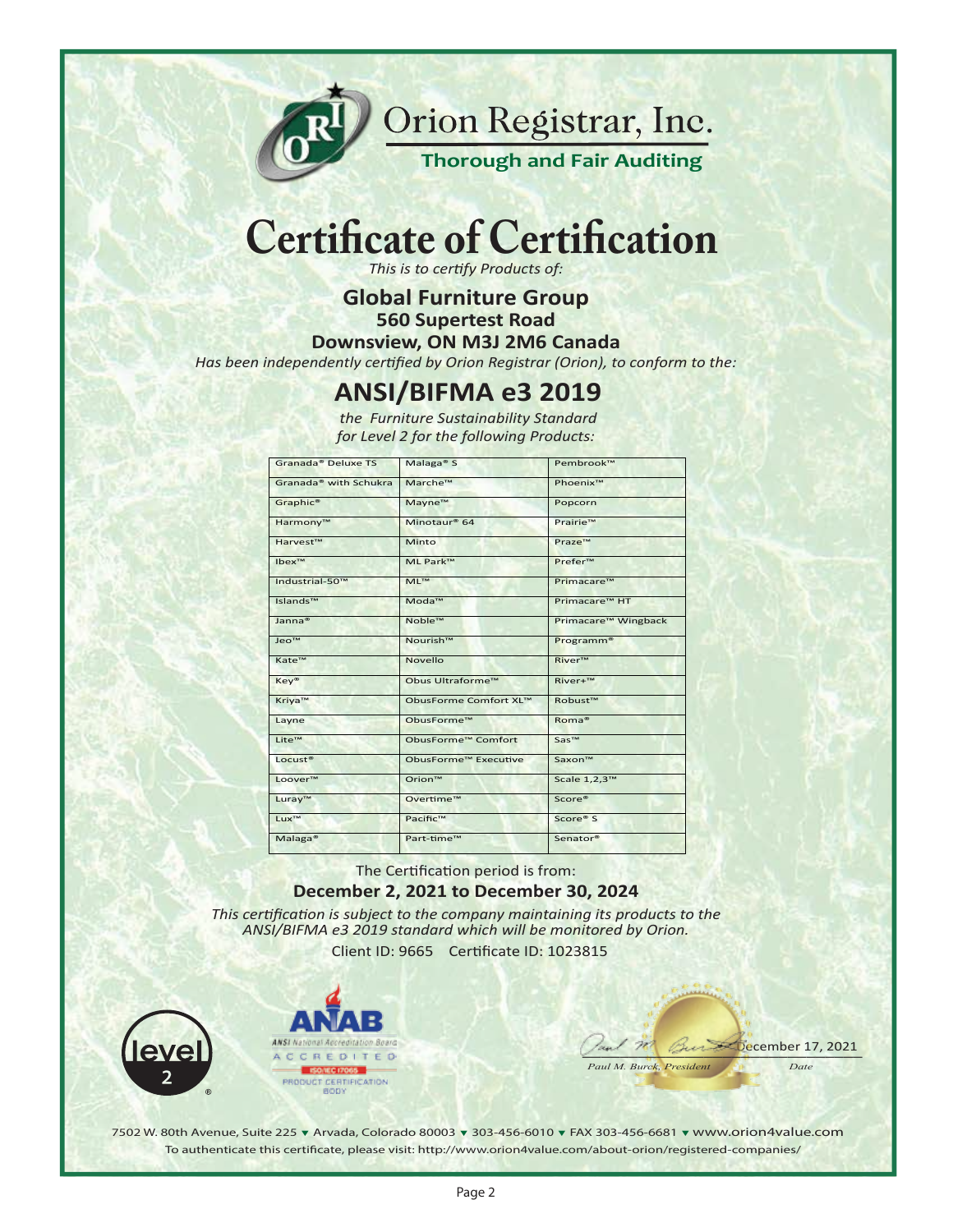

Orion Registrar, Inc.

**Thorough and Fair Auditing** 

## **Certificate of Certification**

*This is to certify Products of:*

**Global Furniture Group**

**560 Supertest Road**

**Downsview, ON M3J 2M6 Canada**

*Has been independently certified by Orion Registrar (Orion), to conform to the:*

### **ANSI/BIFMA e3 2019**

*the Furniture Sustainability Standard for Level 2 for the following Products:*

| Granada® Deluxe TS                | Malaga <sup>®</sup> S    | Pembrook™             |
|-----------------------------------|--------------------------|-----------------------|
| Granada <sup>®</sup> with Schukra | Marche™                  | Phoenix™              |
| Graphic <sup>®</sup>              | Mayne™                   | Popcorn               |
| Harmony™                          | Minotaur <sup>®</sup> 64 | Prairie™              |
| Harvest™                          | Minto                    | Praze™                |
| Ibex™                             | ML Park™                 | Prefer™               |
| Industrial-50™                    | MI <sup>™</sup>          | Primacare™            |
| Islands™                          | Moda™                    | Primacare™ HT         |
| Janna <sup>®</sup>                | Noble™                   | Primacare™ Wingback   |
| Jeo™                              | Nourish™                 | Programm <sup>®</sup> |
| Kate™                             | Novello                  | River™                |
| Key®                              | Obus Ultraforme™         | River+™               |
| Kriya™                            | ObusForme Comfort XL™    | Robust™               |
| Layne                             | ObusForme™               | Roma <sup>®</sup>     |
| Lite™                             | ObusForme™ Comfort       | Sas™                  |
| Locust <sup>®</sup>               | ObusForme™ Executive     | Saxon™                |
| Loover™                           | Orion™                   | Scale 1,2,3™          |
| Luray™                            | Overtime™                | Score®                |
| Lux <sup>™</sup>                  | Pacific™                 | Score® S              |
| Malaga <sup>®</sup>               | Part-time™               | Senator <sup>®</sup>  |

The Certification period is from:

#### **December 2, 2021 to December 30, 2024**

*This certification is subject to the company maintaining its products to the ANSI/BIFMA e3 2019 standard which will be monitored by Orion.*

Client ID: 9665 Cer�ficate ID: 1023815





*Paul M. Burck, President Date*

 $\frac{1}{2}$  and  $\frac{1}{2}$   $\frac{1}{2}$   $\frac{1}{2}$   $\frac{1}{2}$   $\frac{1}{2}$   $\frac{1}{2}$   $\frac{1}{2}$   $\frac{1}{2}$   $\frac{1}{2}$   $\frac{1}{2}$   $\frac{1}{2}$   $\frac{1}{2}$   $\frac{1}{2}$   $\frac{1}{2}$   $\frac{1}{2}$   $\frac{1}{2}$   $\frac{1}{2}$   $\frac{1}{2}$   $\frac{1}{2}$   $\frac{1}{2}$   $\frac{1}{2$ 

7502 W. 80th Avenue, Suite 225 ▼ Arvada, Colorado 80003 ▼ 303-456-6010 ▼ FAX 303-456-6681 ▼ www.orion4value.com To authenticate this certificate, please visit: http://www.orion4value.com/about-orion/reqistered-companies/